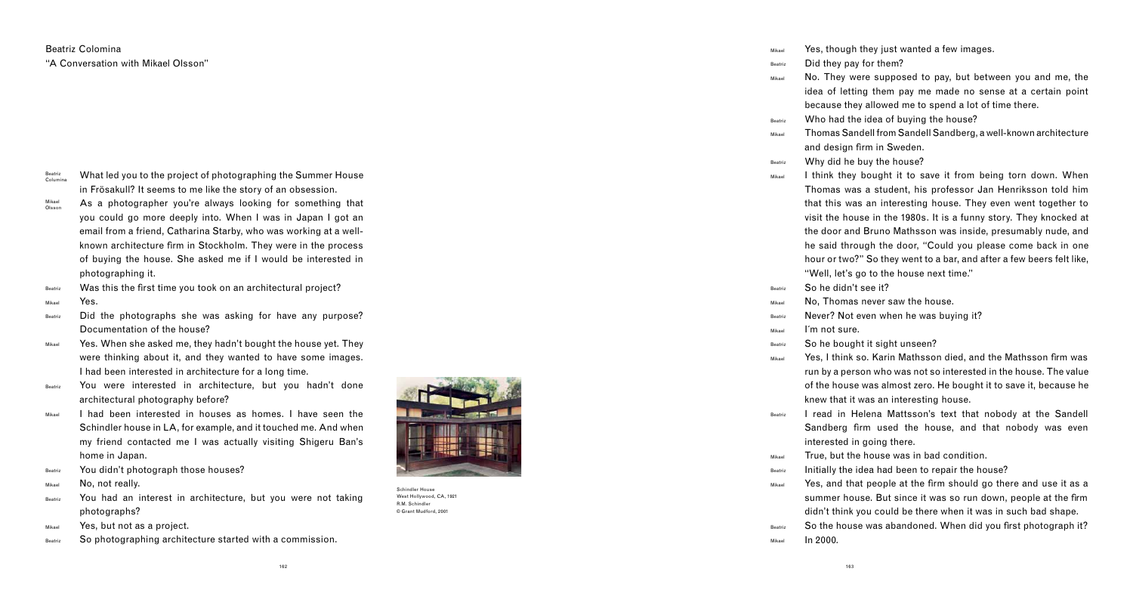Yes.

No. They were supposed to pay, but between you and me, the idea of letting them pay me made no sense at a certain point because they allowed me to spend a lot of time there.

- As a photographer you're always looking for something that you could go more deeply into. When I was in Japan I got an email from a friend, Catharina Starby, who was working at a wellknown architecture firm in Stockholm. They were in the process of buying the house. She asked me if I would be interested in photographing it. Mikael Olsson
- Was this the first time you took on an architectural project? Beatriz
- Mikael

- Yes, I think so. Karin Mathsson died, and the Mathsson firm was run by a person who was not so interested in the house. The value of the house was almost zero. He bought it to save it, because he knew that it was an interesting house. Mikael
- I read in Helena Mattsson's text that nobody at the Sandell Sandberg firm used the house, and that nobody was even interested in going there. Beatriz

- Yes, and that people at the firm should go there and use it as a summer house. But since it was so run down, people at the firm didn't think you could be there when it was in such bad shape. Mikael
- So the house was abandoned. When did you first photograph it? In 2000. Beatriz Mikael

| Beatriz<br>Columina | What led you to the project of photographing the Summer House |
|---------------------|---------------------------------------------------------------|
|                     | in Frösakull? It seems to me like the story of an obsession.  |

Did the photographs she was asking for have any purpose? Documentation of the house? Beatriz

Yes. When she asked me, they hadn't bought the house yet. They were thinking about it, and they wanted to have some images. I had been interested in architecture for a long time. Mikael

- You were interested in architecture, but you hadn't done architectural photography before? Beatriz
- I had been interested in houses as homes. I have seen the Schindler house in LA, for example, and it touched me. And when my friend contacted me I was actually visiting Shigeru Ban's home in Japan. Mikael
- You didn't photograph those houses? Beatriz
- No, not really. Mikael
- You had an interest in architecture, but you were not taking photographs? Beatriz
- Yes, but not as a project. Mikael
- So photographing architecture started with a commission. Beatriz

Yes, though they just wanted a few images. Mikael

Did they pay for them? Beatriz

Who had the idea of buying the house? Beatriz

Thomas Sandell from Sandell Sandberg, a well-known architecture and design firm in Sweden. Mikael

Why did he buy the house? Beatriz

- I think they bought it to save it from being torn down. When Thomas was a student, his professor Jan Henriksson told him that this was an interesting house. They even went together to visit the house in the 1980s. It is a funny story. They knocked at the door and Bruno Mathsson was inside, presumably nude, and he said through the door, "Could you please come back in one hour or two?" So they went to a bar, and after a few beers felt like, "Well, let's go to the house next time." Mikael
- So he didn't see it? Beatriz

No, Thomas never saw the house. Mikael

Never? Not even when he was buying it? Beatriz

I´m not sure. Mikael

So he bought it sight unseen? Beatriz

True, but the house was in bad condition. Mikael

Initially the idea had been to repair the house? Beatriz



Schindler House West Hollywood, CA, 1921 R.M. Schindler © Grant Mudford, 2001

## Beatriz Colomina "A Conversation with Mikael Olsson"

Mikael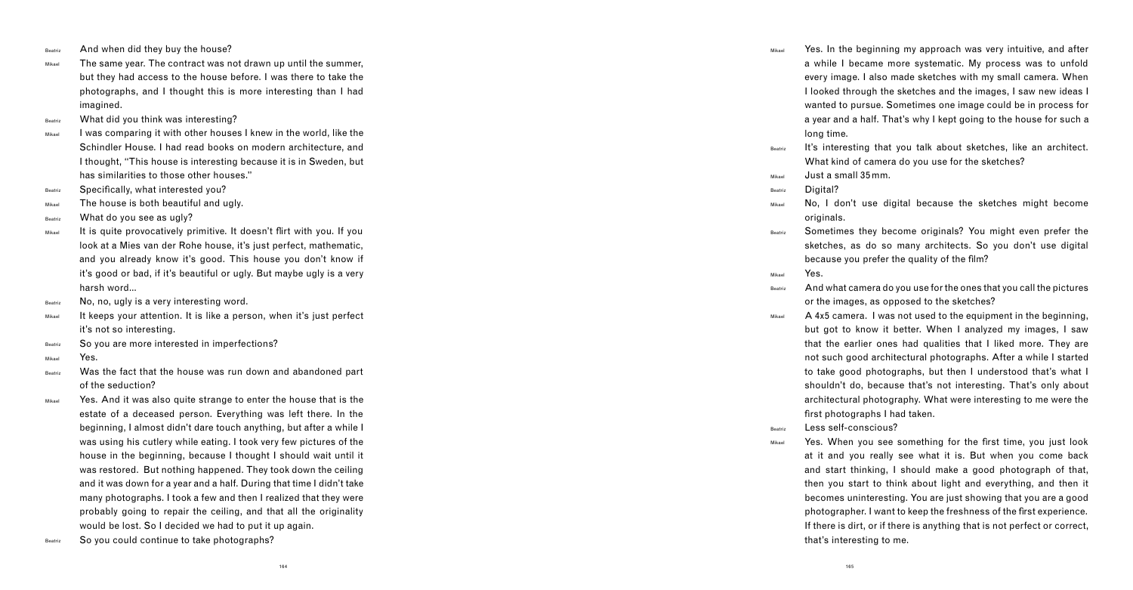Yes. When you see something for the first time, you just look at it and you really see what it is. But when you come back and start thinking, I should make a good photograph of that, then you start to think about light and everything, and then it becomes uninteresting. You are just showing that you are a good photographer. I want to keep the freshness of the first experience. If there is dirt, or if there is anything that is not perfect or correct, that's interesting to me.

- And when did they buy the house? Beatriz
- The same year. The contract was not drawn up until the summer, but they had access to the house before. I was there to take the photographs, and I thought this is more interesting than I had imagined. Mikael
- What did you think was interesting? Beatriz
- I was comparing it with other houses I knew in the world, like the Schindler House. I had read books on modern architecture, and I thought, "This house is interesting because it is in Sweden, but has similarities to those other houses." Mikael
- Specifically, what interested you? Beatriz
- The house is both beautiful and ugly. Mikael
- What do you see as ugly? Beatriz
- It is quite provocatively primitive. It doesn't flirt with you. If you look at a Mies van der Rohe house, it's just perfect, mathematic, and you already know it's good. This house you don't know if it's good or bad, if it's beautiful or ugly. But maybe ugly is a very harsh word... Mikael
- No, no, ugly is a very interesting word. Beatriz
- It keeps your attention. It is like a person, when it's just perfect it's not so interesting. Mikael
- So you are more interested in imperfections? Beatriz
- Yes. Mikael
- Was the fact that the house was run down and abandoned part of the seduction? Beatriz
- Yes. And it was also quite strange to enter the house that is the estate of a deceased person. Everything was left there. In the beginning, I almost didn't dare touch anything, but after a while I was using his cutlery while eating. I took very few pictures of the house in the beginning, because I thought I should wait until it was restored. But nothing happened. They took down the ceiling and it was down for a year and a half. During that time I didn't take many photographs. I took a few and then I realized that they were probably going to repair the ceiling, and that all the originality would be lost. So I decided we had to put it up again. Mikael
- So you could continue to take photographs? Beatriz
- Yes. In the beginning my approach was very intuitive, and after a while I became more systematic. My process was to unfold every image. I also made sketches with my small camera. When I looked through the sketches and the images, I saw new ideas I wanted to pursue. Sometimes one image could be in process for a year and a half. That's why I kept going to the house for such a long time. Mikael
- It's interesting that you talk about sketches, like an architect. What kind of camera do you use for the sketches? Beatriz

Just a small 35 mm. Mikael

Digital? Beatriz

- No, I don't use digital because the sketches might become originals. Mikael
- Sometimes they become originals? You might even prefer the sketches, as do so many architects. So you don't use digital because you prefer the quality of the film? Beatriz
- Yes. Mikael
- And what camera do you use for the ones that you call the pictures or the images, as opposed to the sketches? Beatriz
- A 4x5 camera. I was not used to the equipment in the beginning, but got to know it better. When I analyzed my images, I saw that the earlier ones had qualities that I liked more. They are not such good architectural photographs. After a while I started to take good photographs, but then I understood that's what I shouldn't do, because that's not interesting. That's only about architectural photography. What were interesting to me were the first photographs I had taken. Mikael

Less self-conscious? Beatriz

Mikael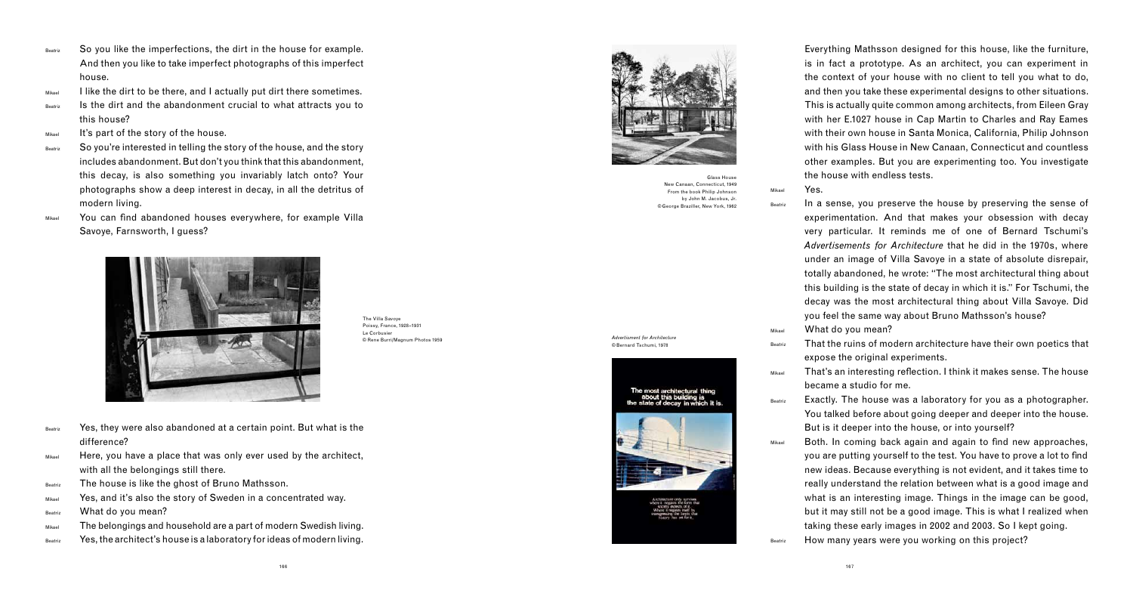Everything Mathsson designed for this house, like the furniture, is in fact a prototype. As an architect, you can experiment in the context of your house with no client to tell you what to do, and then you take these experimental designs to other situations. This is actually quite common among architects, from Eileen Gray with her E.1027 house in Cap Martin to Charles and Ray Eames with their own house in Santa Monica, California, Philip Johnson with his Glass House in New Canaan, Connecticut and countless other examples. But you are experimenting too. You investigate the house with endless tests.

In a sense, you preserve the house by preserving the sense of experimentation. And that makes your obsession with decay very particular. It reminds me of one of Bernard Tschumi's *Advertisements for Architecture* that he did in the 1970s, where under an image of Villa Savoye in a state of absolute disrepair, totally abandoned, he wrote: "The most architectural thing about this building is the state of decay in which it is." For Tschumi, the decay was the most architectural thing about Villa Savoye. Did you feel the same way about Bruno Mathsson's house?

That's an interesting reflection. I think it makes sense. The house became a studio for me. Mikael

Both. In coming back again and again to find new approaches, you are putting yourself to the test. You have to prove a lot to find new ideas. Because everything is not evident, and it takes time to really understand the relation between what is a good image and what is an interesting image. Things in the image can be good, but it may still not be a good image. This is what I realized when taking these early images in 2002 and 2003. So I kept going. How many years were you working on this project? Mikael

Yes. Mikael

The Villa Savoye Poissy, France, 1928–1931 Le Corbusier © Rene Burri/Magnum Photos 1959 *Advertisment for Architecture*

© Bernard Tschumi, 1978







Glass House New Canaan, Connecticut, 1949 From the book Philip Johnson by John M. Jacobus, Jr. © George Braziller, New York, 1962

What do you mean? Mikael



That the ruins of modern architecture have their own poetics that expose the original experiments. Beatriz

Exactly. The house was a laboratory for you as a photographer. You talked before about going deeper and deeper into the house. But is it deeper into the house, or into yourself? Beatriz

- So you like the imperfections, the dirt in the house for example. And then you like to take imperfect photographs of this imperfect house. Beatriz
- I like the dirt to be there, and I actually put dirt there sometimes. Mikael
- Is the dirt and the abandonment crucial to what attracts you to this house? Beatriz
- It's part of the story of the house. Mikael
- So you're interested in telling the story of the house, and the story includes abandonment. But don't you think that this abandonment, this decay, is also something you invariably latch onto? Your photographs show a deep interest in decay, in all the detritus of modern living. Beatriz
- You can find abandoned houses everywhere, for example Villa Savoye, Farnsworth, I guess? Mikael



- Yes, they were also abandoned at a certain point. But what is the difference? Beatriz
- Here, you have a place that was only ever used by the architect, with all the belongings still there. Mikael
- The house is like the ghost of Bruno Mathsson. Beatriz
- Yes, and it's also the story of Sweden in a concentrated way. Mikael
- What do you mean? Beatriz
- The belongings and household are a part of modern Swedish living. Mikael
- Yes, the architect's house is a laboratory for ideas of modern living. Beatriz

Beatriz

Beatriz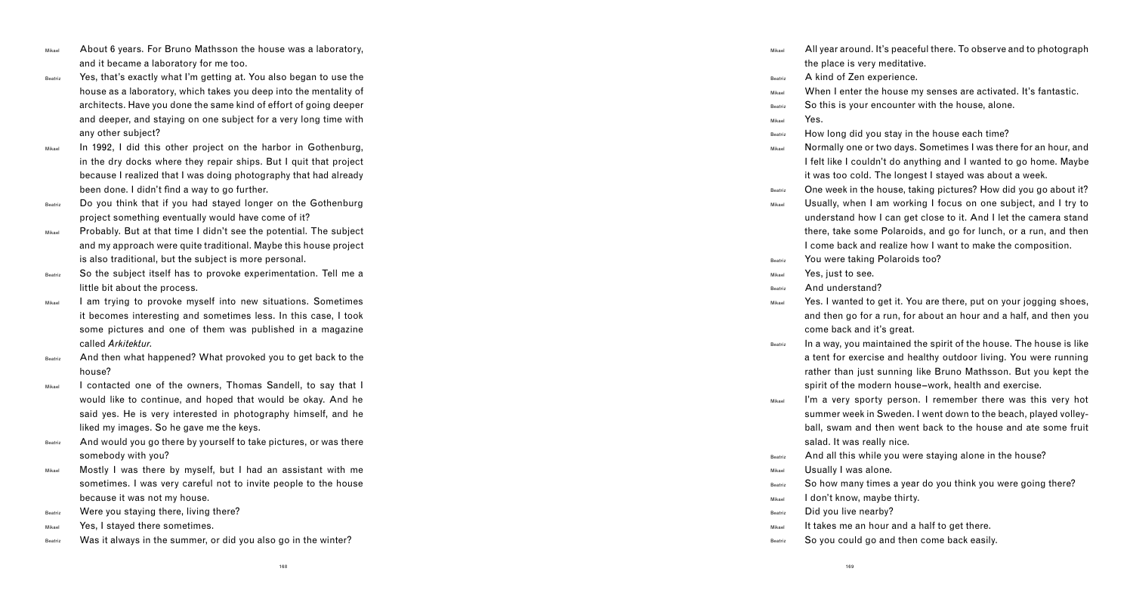- About 6 years. For Bruno Mathsson the house was a laboratory, and it became a laboratory for me too. Mikael
- Yes, that's exactly what I'm getting at. You also began to use the house as a laboratory, which takes you deep into the mentality of architects. Have you done the same kind of effort of going deeper and deeper, and staying on one subject for a very long time with any other subject? Beatriz
- In 1992, I did this other project on the harbor in Gothenburg, in the dry docks where they repair ships. But I quit that project because I realized that I was doing photography that had already been done. I didn't find a way to go further. Mikael
- Do you think that if you had stayed longer on the Gothenburg project something eventually would have come of it? Beatriz
- Probably. But at that time I didn't see the potential. The subject and my approach were quite traditional. Maybe this house project is also traditional, but the subject is more personal. Mikael
- So the subject itself has to provoke experimentation. Tell me a little bit about the process. Beatriz
- I am trying to provoke myself into new situations. Sometimes it becomes interesting and sometimes less. In this case, I took some pictures and one of them was published in a magazine called *Arkitektur*. Mikael
- And then what happened? What provoked you to get back to the house? Beatriz
- I contacted one of the owners, Thomas Sandell, to say that I would like to continue, and hoped that would be okay. And he said yes. He is very interested in photography himself, and he liked my images. So he gave me the keys. Mikael
- And would you go there by yourself to take pictures, or was there somebody with you? Beatriz
- Mostly I was there by myself, but I had an assistant with me sometimes. I was very careful not to invite people to the house because it was not my house. Mikael
- Were you staying there, living there? Beatriz
- Yes, I stayed there sometimes. Mikael
- Was it always in the summer, or did you also go in the winter? Beatriz
- All year around. It's peaceful there. To observe and to photograph the place is very meditative. Mikael
- A kind of Zen experience. Beatriz
- When I enter the house my senses are activated. It's fantastic. Mikael
- So this is your encounter with the house, alone. Beatriz
- Yes. Mikael
- How long did you stay in the house each time? Beatriz
- Normally one or two days. Sometimes I was there for an hour, and I felt like I couldn't do anything and I wanted to go home. Maybe it was too cold. The longest I stayed was about a week. Mikael
- One week in the house, taking pictures? How did you go about it? Usually, when I am working I focus on one subject, and I try to understand how I can get close to it. And I let the camera stand there, take some Polaroids, and go for lunch, or a run, and then Beatriz Mikael
	- I come back and realize how I want to make the composition.
- You were taking Polaroids too? Beatriz

Yes, just to see. Mikael

- And understand? Beatriz
- Yes. I wanted to get it. You are there, put on your jogging shoes, and then go for a run, for about an hour and a half, and then you come back and it's great. Mikael
- In a way, you maintained the spirit of the house. The house is like a tent for exercise and healthy outdoor living. You were running rather than just sunning like Bruno Mathsson. But you kept the spirit of the modern house–work, health and exercise. Beatriz
- I'm a very sporty person. I remember there was this very hot summer week in Sweden. I went down to the beach, played volleyball, swam and then went back to the house and ate some fruit salad. It was really nice. Mikael
- And all this while you were staying alone in the house? Usually I was alone. Beatriz Mikael
- So how many times a year do you think you were going there? Beatriz
- I don't know, maybe thirty. Mikael
- Did you live nearby? Beatriz
- It takes me an hour and a half to get there. Mikael
- So you could go and then come back easily. Beatriz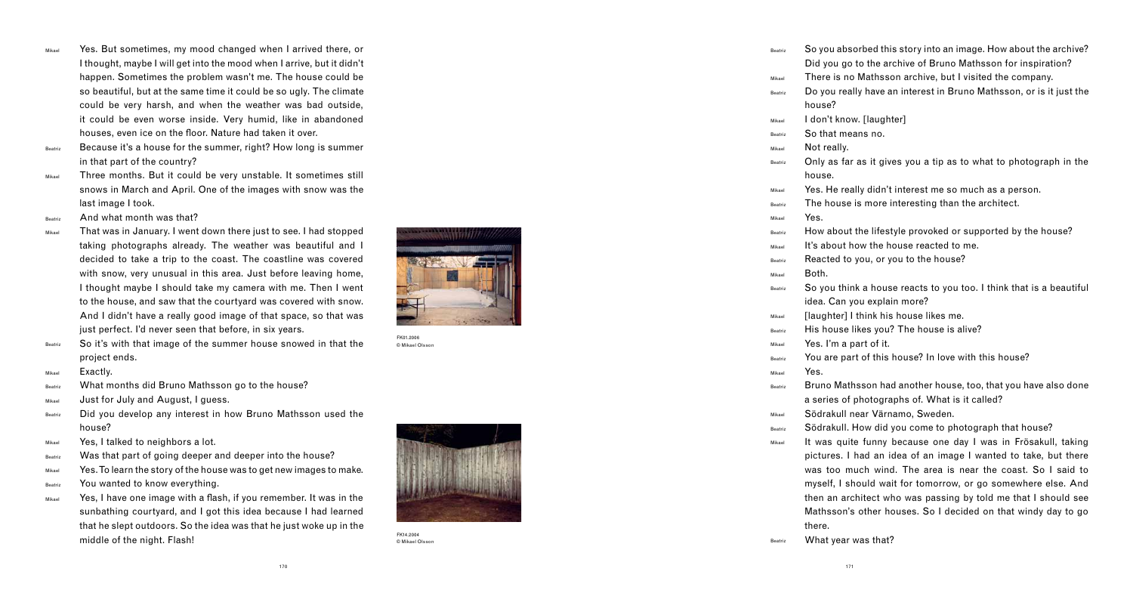- Yes. But sometimes, my mood changed when I arrived there, or I thought, maybe I will get into the mood when I arrive, but it didn't happen. Sometimes the problem wasn't me. The house could be so beautiful, but at the same time it could be so ugly. The climate could be very harsh, and when the weather was bad outside, it could be even worse inside. Very humid, like in abandoned houses, even ice on the floor. Nature had taken it over. Mikael
- Because it's a house for the summer, right? How long is summer in that part of the country? Beatriz
- Three months. But it could be very unstable. It sometimes still snows in March and April. One of the images with snow was the last image I took. Mikael
- And what month was that? Beatriz
- That was in January. I went down there just to see. I had stopped taking photographs already. The weather was beautiful and I decided to take a trip to the coast. The coastline was covered with snow, very unusual in this area. Just before leaving home, I thought maybe I should take my camera with me. Then I went to the house, and saw that the courtyard was covered with snow. And I didn't have a really good image of that space, so that was just perfect. I'd never seen that before, in six years. Mikael
- So it's with that image of the summer house snowed in that the project ends. Beatriz
- Exactly. Mikael
- What months did Bruno Mathsson go to the house? Beatriz
- Just for July and August, I guess. Mikael
- Did you develop any interest in how Bruno Mathsson used the house? Beatriz
- Yes, I talked to neighbors a lot. Mikael
- Was that part of going deeper and deeper into the house? Beatriz
- Yes. To learn the story of the house was to get new images to make. You wanted to know everything. Mikael Beatriz
- Yes, I have one image with a flash, if you remember. It was in the sunbathing courtyard, and I got this idea because I had learned that he slept outdoors. So the idea was that he just woke up in the middle of the night. Flash! Mikael

| <b>Beatriz</b> | So you absorbed this story into an image. How about the archive?    |
|----------------|---------------------------------------------------------------------|
|                | Did you go to the archive of Bruno Mathsson for inspiration?        |
| Mikael         | There is no Mathsson archive, but I visited the company.            |
| <b>Beatriz</b> | Do you really have an interest in Bruno Mathsson, or is it just the |
|                | house?                                                              |
| Mikael         | I don't know. [laughter]                                            |
| Beatriz        | So that means no.                                                   |
| Mikael         | Not really.                                                         |
| Beatriz        | Only as far as it gives you a tip as to what to photograph in the   |
|                | house.                                                              |
| Mikael         | Yes. He really didn't interest me so much as a person.              |
| Beatriz        | The house is more interesting than the architect.                   |
| Mikael         | Yes.                                                                |
| Beatriz        | How about the lifestyle provoked or supported by the house?         |
| Mikael         | It's about how the house reacted to me.                             |
| Beatriz        | Reacted to you, or you to the house?                                |
| Mikael         | Both.                                                               |
| Beatriz        | So you think a house reacts to you too. I think that is a beautiful |
|                | idea. Can you explain more?                                         |
| Mikael         | [laughter] I think his house likes me.                              |
| Beatriz        | His house likes you? The house is alive?                            |
| Mikael         | Yes. I'm a part of it.                                              |
| Beatriz        | You are part of this house? In love with this house?                |
| Mikael         | Yes.                                                                |
| Beatriz        | Bruno Mathsson had another house, too, that you have also done      |
|                | a series of photographs of. What is it called?                      |
| Mikael         | Södrakull near Värnamo, Sweden.                                     |
| Beatriz        | Södrakull. How did you come to photograph that house?               |
| Mikael         | It was quite funny because one day I was in Frösakull, taking       |
|                | pictures. I had an idea of an image I wanted to take, but there     |
|                | was too much wind. The area is near the coast. So I said to         |
|                | myself, I should wait for tomorrow, or go somewhere else. And       |
|                | then an architect who was passing by told me that I should see      |
|                | Mathsson's other houses. So I decided on that windy day to go       |
|                | there.                                                              |
| Beatriz        | What year was that?                                                 |



FK01.2006 © Mikael Olsson



FK14.2004 © Mikael Olsson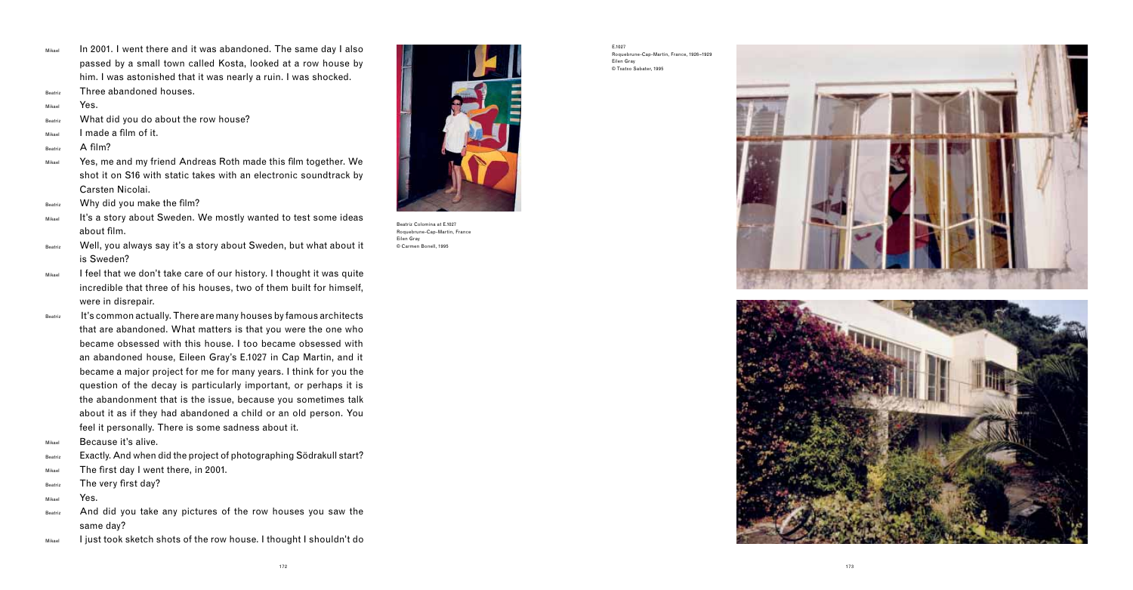- In 2001. I went there and it was abandoned. The same day I also passed by a small town called Kosta, looked at a row house by him. I was astonished that it was nearly a ruin. I was shocked. Mikael
- Three abandoned houses. Beatriz
- Yes. Mikael
- What did you do about the row house? Beatriz
- I made a film of it. Mikael
- $A$  film? Beatriz
- Yes, me and my friend Andreas Roth made this film together. We shot it on S16 with static takes with an electronic soundtrack by Carsten Nicolai. Mikael
- Why did you make the film? Beatriz
- It's a story about Sweden. We mostly wanted to test some ideas about film. Mikael
- Well, you always say it's a story about Sweden, but what about it is Sweden? Beatriz
- I feel that we don't take care of our history. I thought it was quite incredible that three of his houses, two of them built for himself, were in disrepair. Mikael
- It's common actually. There are many houses by famous architects that are abandoned. What matters is that you were the one who became obsessed with this house. I too became obsessed with an abandoned house, Eileen Gray's E.1027 in Cap Martin, and it became a major project for me for many years. I think for you the question of the decay is particularly important, or perhaps it is the abandonment that is the issue, because you sometimes talk about it as if they had abandoned a child or an old person. You feel it personally. There is some sadness about it. Beatriz
- Because it's alive. Mikael
- Exactly. And when did the project of photographing Södrakull start? The first day I went there, in 2001. Beatriz Mikael
- The very first day? Beatriz
- Yes. Mikael
- And did you take any pictures of the row houses you saw the same day? Beatriz
- I just took sketch shots of the row house. I thought I shouldn't do Mikael



Beatriz Colomina at E.1027 Roquebrune-Cap-Martin, France Eilen Gray © Carmen Bonell, 1995

E.1027 Roquebrune-Cap-Martin, France, 1926–1929 Eilen Gray © Txatxo Sabater, 1995

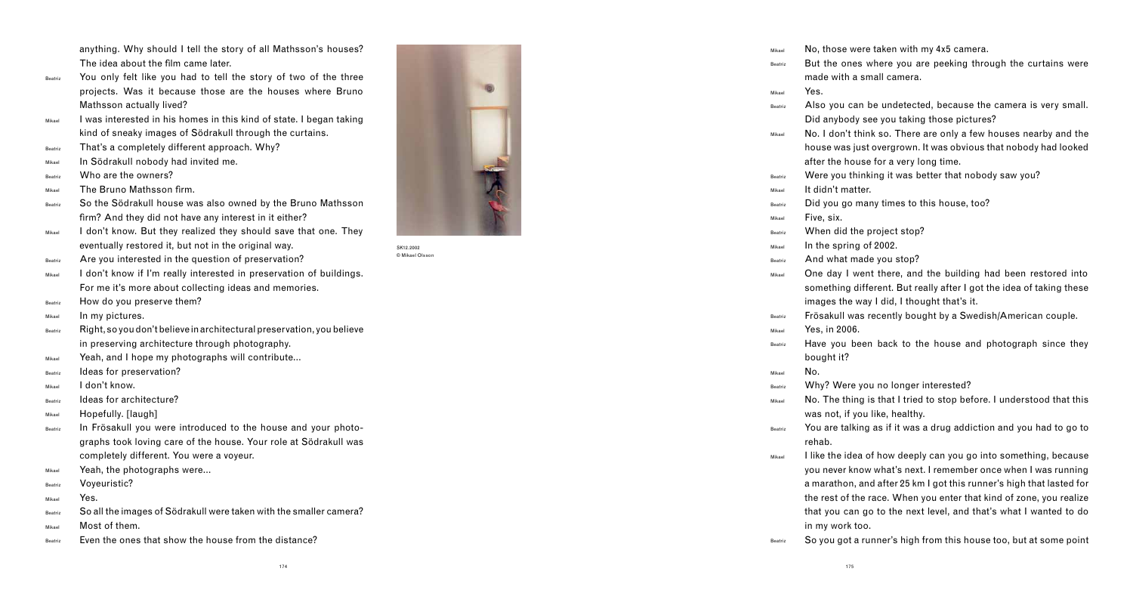anything. Why should I tell the story of all Mathsson's houses? The idea about the film came later.

- You only felt like you had to tell the story of two of the three projects. Was it because those are the houses where Bruno Mathsson actually lived? Beatriz
- I was interested in his homes in this kind of state. I began taking kind of sneaky images of Södrakull through the curtains. Mikael
- That's a completely different approach. Why? Beatriz
- In Södrakull nobody had invited me. Mikael
- Who are the owners? Beatriz
- The Bruno Mathsson firm. Mikael
- So the Södrakull house was also owned by the Bruno Mathsson firm? And they did not have any interest in it either? Beatriz
- I don't know. But they realized they should save that one. They eventually restored it, but not in the original way. Mikael
- Are you interested in the question of preservation? Beatriz
- I don't know if I'm really interested in preservation of buildings. For me it's more about collecting ideas and memories. Mikael
- How do you preserve them? Beatriz
- In my pictures. Mikael
- Right, so you don't believe in architectural preservation, you believe in preserving architecture through photography. Beatriz
- Yeah, and I hope my photographs will contribute… Mikael
- Ideas for preservation? Beatriz
- I don't know. Mikael
- Ideas for architecture? Beatriz
- Hopefully. [laugh] Mikael
- In Frösakull you were introduced to the house and your photographs took loving care of the house. Your role at Södrakull was completely different. You were a voyeur. Beatriz
- Yeah, the photographs were… Mikael
- Voyeuristic? Beatriz
- Yes. Mikael
- So all the images of Södrakull were taken with the smaller camera? Beatriz
- Most of them. Mikael
- Even the ones that show the house from the distance? Beatriz



| Mikael         | No, those were taken with my 4x5 camera.                             |
|----------------|----------------------------------------------------------------------|
| Beatriz        | But the ones where you are peeking through the curtains were         |
|                | made with a small camera.                                            |
| Mikael         | Yes.                                                                 |
| Beatriz        | Also you can be undetected, because the camera is very small.        |
|                | Did anybody see you taking those pictures?                           |
| Mikael         | No. I don't think so. There are only a few houses nearby and the     |
|                | house was just overgrown. It was obvious that nobody had looked      |
|                | after the house for a very long time.                                |
| Beatriz        | Were you thinking it was better that nobody saw you?                 |
| Mikael         | It didn't matter.                                                    |
| <b>Beatriz</b> | Did you go many times to this house, too?                            |
| Mikael         | Five, six.                                                           |
| Beatriz        | When did the project stop?                                           |
| Mikael         | In the spring of 2002.                                               |
| Beatriz        | And what made you stop?                                              |
| Mikael         | One day I went there, and the building had been restored into        |
|                | something different. But really after I got the idea of taking these |
|                | images the way I did, I thought that's it.                           |
| <b>Beatriz</b> | Frösakull was recently bought by a Swedish/American couple.          |
| Mikael         | Yes, in 2006.                                                        |
| Beatriz        | Have you been back to the house and photograph since they            |
|                | bought it?                                                           |
| Mikael         | No.                                                                  |
| Beatriz        | Why? Were you no longer interested?                                  |
| Mikael         | No. The thing is that I tried to stop before. I understood that this |
|                | was not, if you like, healthy.                                       |
| Beatriz        | You are talking as if it was a drug addiction and you had to go to   |
|                | rehab.                                                               |
| Mikael         | I like the idea of how deeply can you go into something, because     |
|                | you never know what's next. I remember once when I was running       |
|                | a marathon, and after 25 km I got this runner's high that lasted for |
|                | the rest of the race. When you enter that kind of zone, you realize  |
|                | that you can go to the next level, and that's what I wanted to do    |
|                | in my work too.                                                      |
| Beatriz        | So you got a runner's high from this house too, but at some point    |

SK12.2002 © Mikael Olsson

174 175